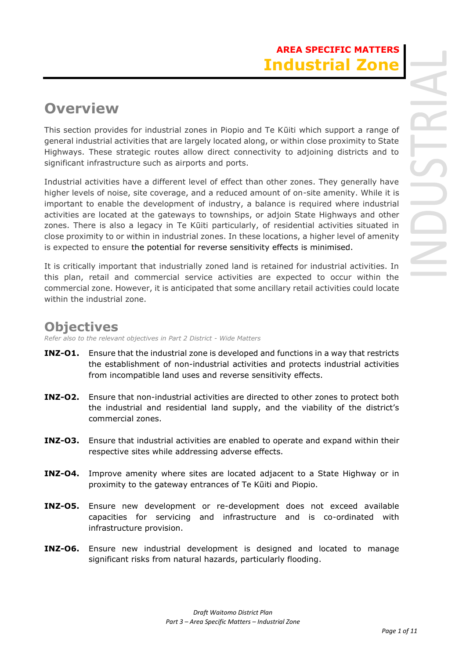# **Overview**

This section provides for industrial zones in Piopio and Te Kūiti which support a range of general industrial activities that are largely located along, or within close proximity to State Highways. These strategic routes allow direct connectivity to adjoining districts and to significant infrastructure such as airports and ports.

Industrial activities have a different level of effect than other zones. They generally have higher levels of noise, site coverage, and a reduced amount of on-site amenity. While it is important to enable the development of industry, a balance is required where industrial activities are located at the gateways to townships, or adjoin State Highways and other zones. There is also a legacy in Te Kūiti particularly, of residential activities situated in close proximity to or within in industrial zones. In these locations, a higher level of amenity is expected to ensure the potential for reverse sensitivity effects is minimised.

It is critically important that industrially zoned land is retained for industrial activities. In this plan, retail and commercial service activities are expected to occur within the commercial zone. However, it is anticipated that some ancillary retail activities could locate within the industrial zone.

## **Objectives**

*Refer also to the relevant objectives in Part 2 District - Wide Matters* 

- **INZ-O1.** Ensure that the industrial zone is developed and functions in a way that restricts the establishment of non-industrial activities and protects industrial activities from incompatible land uses and reverse sensitivity effects.
- **INZ-O2.** Ensure that non-industrial activities are directed to other zones to protect both the industrial and residential land supply, and the viability of the district's commercial zones.
- **INZ-O3.** Ensure that industrial activities are enabled to operate and expand within their respective sites while addressing adverse effects.
- **INZ-O4.** Improve amenity where sites are located adjacent to a State Highway or in proximity to the gateway entrances of Te Kūiti and Piopio.
- **INZ-O5.** Ensure new development or re-development does not exceed available capacities for servicing and infrastructure and is co-ordinated with infrastructure provision.
- **INZ-O6.** Ensure new industrial development is designed and located to manage significant risks from natural hazards, particularly flooding.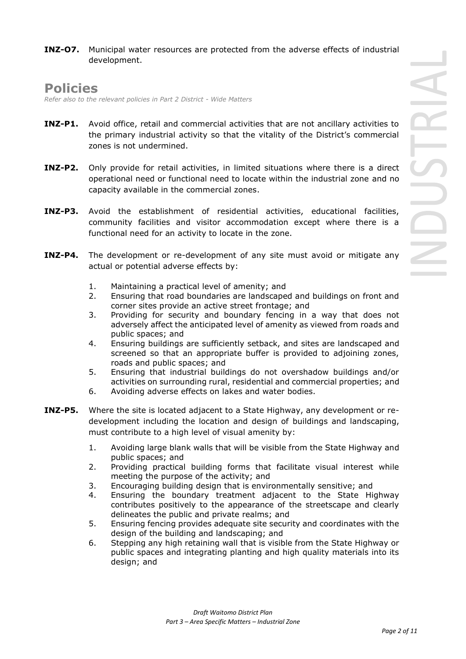**INZ-O7.** Municipal water resources are protected from the adverse effects of industrial development.

### **Policies**

*Refer also to the relevant policies in Part 2 District - Wide Matters* 

- **INZ-P1.** Avoid office, retail and commercial activities that are not ancillary activities to the primary industrial activity so that the vitality of the District's commercial zones is not undermined.
- **INZ-P2.** Only provide for retail activities, in limited situations where there is a direct operational need or functional need to locate within the industrial zone and no capacity available in the commercial zones.
- **INZ-P3.** Avoid the establishment of residential activities, educational facilities, community facilities and visitor accommodation except where there is a functional need for an activity to locate in the zone.
- **INZ-P4.** The development or re-development of any site must avoid or mitigate any actual or potential adverse effects by:
	- 1. Maintaining a practical level of amenity; and
	- 2. Ensuring that road boundaries are landscaped and buildings on front and corner sites provide an active street frontage; and
	- 3. Providing for security and boundary fencing in a way that does not adversely affect the anticipated level of amenity as viewed from roads and public spaces; and
	- 4. Ensuring buildings are sufficiently setback, and sites are landscaped and screened so that an appropriate buffer is provided to adjoining zones, roads and public spaces; and
	- 5. Ensuring that industrial buildings do not overshadow buildings and/or activities on surrounding rural, residential and commercial properties; and
	- 6. Avoiding adverse effects on lakes and water bodies.
- **INZ-P5.** Where the site is located adjacent to a State Highway, any development or redevelopment including the location and design of buildings and landscaping, must contribute to a high level of visual amenity by:
	- 1. Avoiding large blank walls that will be visible from the State Highway and public spaces; and
	- 2. Providing practical building forms that facilitate visual interest while meeting the purpose of the activity; and
	- 3. Encouraging building design that is environmentally sensitive; and
	- 4. Ensuring the boundary treatment adjacent to the State Highway contributes positively to the appearance of the streetscape and clearly delineates the public and private realms; and
	- 5. Ensuring fencing provides adequate site security and coordinates with the design of the building and landscaping; and
	- 6. Stepping any high retaining wall that is visible from the State Highway or public spaces and integrating planting and high quality materials into its design; and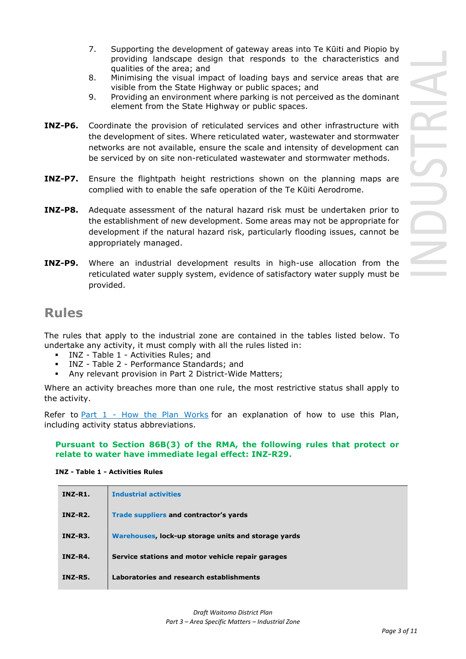- 7. Supporting the development of gateway areas into Te Kūiti and Piopio by providing landscape design that responds to the characteristics and qualities of the area; and
- 8. Minimising the visual impact of loading bays and service areas that are visible from the State Highway or public spaces; and
- 9. Providing an environment where parking is not perceived as the dominant element from the State Highway or public spaces.
- **INZ-P6.** Coordinate the provision of reticulated services and other infrastructure with the development of sites. Where reticulated water, wastewater and stormwater networks are not available, ensure the scale and intensity of development can be serviced by on site non-reticulated wastewater and stormwater methods.
- **INZ-P7.** Ensure the flightpath height restrictions shown on the planning maps are complied with to enable the safe operation of the Te Kūiti Aerodrome.
- **INZ-P8.** Adequate assessment of the natural hazard risk must be undertaken prior to the establishment of new development. Some areas may not be appropriate for development if the natural hazard risk, particularly flooding issues, cannot be appropriately managed.
- **INZ-P9.** Where an industrial development results in high-use allocation from the reticulated water supply system, evidence of satisfactory water supply must be provided.

### **Rules**

The rules that apply to the industrial zone are contained in the tables listed below. To undertake any activity, it must comply with all the rules listed in:

- INZ Table 1 Activities Rules; and
- INZ Table 2 Performance Standards; and
- Any relevant provision in Part 2 District-Wide Matters;

Where an activity breaches more than one rule, the most restrictive status shall apply to the activity.

Refer to **[Part 1](javascript:void(0)) - How the Plan Works** for an explanation of how to use this Plan, including activity status abbreviations.

#### **Pursuant to Section 86B(3) of the RMA, the following rules that protect or relate to water have immediate legal effect: INZ-R29.**

| $INZ-R1$ .     | <b>Industrial activities</b>                        |
|----------------|-----------------------------------------------------|
| $INZ-R2.$      | Trade suppliers and contractor's yards              |
| INZ-R3.        | Warehouses, lock-up storage units and storage yards |
| $INZ-R4.$      | Service stations and motor vehicle repair garages   |
| <b>INZ-R5.</b> | Laboratories and research establishments            |

#### **INZ - Table 1 - Activities Rules**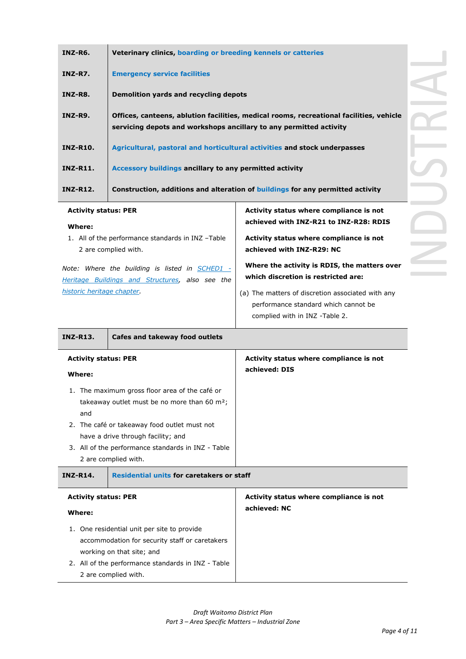| INZ-R6.                     | Veterinary clinics, boarding or breeding kennels or catteries                                                                                                 |  |  |
|-----------------------------|---------------------------------------------------------------------------------------------------------------------------------------------------------------|--|--|
| INZ-R7.                     | <b>Emergency service facilities</b>                                                                                                                           |  |  |
| INZ-R8.                     | Demolition yards and recycling depots                                                                                                                         |  |  |
| <b>INZ-R9.</b>              | Offices, canteens, ablution facilities, medical rooms, recreational facilities, vehicle<br>servicing depots and workshops ancillary to any permitted activity |  |  |
| <b>INZ-R10.</b>             | Agricultural, pastoral and horticultural activities and stock underpasses                                                                                     |  |  |
| <b>INZ-R11.</b>             | Accessory buildings ancillary to any permitted activity                                                                                                       |  |  |
| <b>INZ-R12.</b>             | Construction, additions and alteration of buildings for any permitted activity                                                                                |  |  |
| <b>Activity status: PER</b> | Activity status where compliance is not<br>Li JIII. TAIT DOA L. TAIT DOO, DDTC                                                                                |  |  |

| Activity status where compliance is not                                                                                     |
|-----------------------------------------------------------------------------------------------------------------------------|
| achieved with INZ-R21 to INZ-R28: RDIS                                                                                      |
| Activity status where compliance is not                                                                                     |
| achieved with INZ-R29: NC                                                                                                   |
| Where the activity is RDIS, the matters over<br>which discretion is restricted are:                                         |
| (a) The matters of discretion associated with any<br>performance standard which cannot be<br>complied with in INZ -Table 2. |
|                                                                                                                             |

| <b>INZ-R13.</b>                                                                                                               | Cafes and takeway food outlets                                                                                                                                                                                                                                              |                                                          |
|-------------------------------------------------------------------------------------------------------------------------------|-----------------------------------------------------------------------------------------------------------------------------------------------------------------------------------------------------------------------------------------------------------------------------|----------------------------------------------------------|
| <b>Activity status: PER</b><br>Where:                                                                                         |                                                                                                                                                                                                                                                                             | Activity status where compliance is not<br>achieved: DIS |
| 1.<br>and                                                                                                                     | The maximum gross floor area of the café or<br>takeaway outlet must be no more than 60 m <sup>2</sup> ;<br>2. The café or takeaway food outlet must not<br>have a drive through facility; and<br>3. All of the performance standards in INZ - Table<br>2 are complied with. |                                                          |
| <b>INZ-R14.</b>                                                                                                               | <b>Residential units for caretakers or staff</b>                                                                                                                                                                                                                            |                                                          |
| <b>Activity status: PER</b><br>Where:                                                                                         |                                                                                                                                                                                                                                                                             | Activity status where compliance is not<br>achieved: NC  |
| One residential unit per site to provide<br>1.<br>accommodation for security staff or caretakers<br>working on that site; and |                                                                                                                                                                                                                                                                             |                                                          |

2. All of the performance standards in INZ - Table 2 are complied with.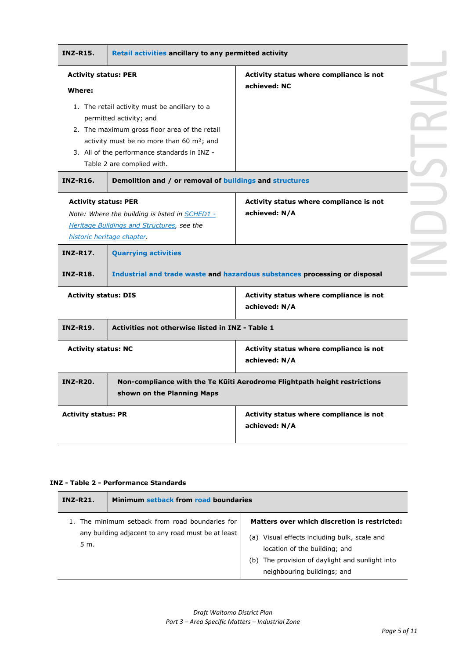| <b>INZ-R15.</b>                       | Retail activities ancillary to any permitted activity                                         |                                                                            |  |
|---------------------------------------|-----------------------------------------------------------------------------------------------|----------------------------------------------------------------------------|--|
| <b>Activity status: PER</b><br>Where: |                                                                                               | Activity status where compliance is not<br>achieved: NC                    |  |
|                                       | 1. The retail activity must be ancillary to a<br>permitted activity; and                      |                                                                            |  |
|                                       | 2. The maximum gross floor area of the retail<br>activity must be no more than 60 $m^2$ ; and |                                                                            |  |
|                                       | 3. All of the performance standards in INZ -<br>Table 2 are complied with.                    |                                                                            |  |
| <b>INZ-R16.</b>                       | Demolition and / or removal of buildings and structures                                       |                                                                            |  |
| <b>Activity status: PER</b>           | Note: Where the building is listed in SCHED1 -                                                | Activity status where compliance is not<br>achieved: N/A                   |  |
|                                       | Heritage Buildings and Structures, see the                                                    |                                                                            |  |
| <b>INZ-R17.</b>                       | historic heritage chapter.<br><b>Quarrying activities</b>                                     |                                                                            |  |
| <b>INZ-R18.</b>                       |                                                                                               | Industrial and trade waste and hazardous substances processing or disposal |  |
| <b>Activity status: DIS</b>           |                                                                                               | Activity status where compliance is not<br>achieved: N/A                   |  |
| <b>INZ-R19.</b>                       | Activities not otherwise listed in INZ - Table 1                                              |                                                                            |  |
| <b>Activity status: NC</b>            |                                                                                               | Activity status where compliance is not<br>achieved: N/A                   |  |
| <b>INZ-R20.</b>                       | shown on the Planning Maps                                                                    | Non-compliance with the Te Küiti Aerodrome Flightpath height restrictions  |  |

#### **INZ - Table 2 - Performance Standards**

| <b>INZ-R21.</b> | Minimum setback from road boundaries                                                                  |                                                                                                                                                                                                                    |  |
|-----------------|-------------------------------------------------------------------------------------------------------|--------------------------------------------------------------------------------------------------------------------------------------------------------------------------------------------------------------------|--|
| 5 m.            | 1. The minimum setback from road boundaries for<br>any building adjacent to any road must be at least | Matters over which discretion is restricted:<br>Visual effects including bulk, scale and<br>(a)<br>location of the building; and<br>(b) The provision of daylight and sunlight into<br>neighbouring buildings; and |  |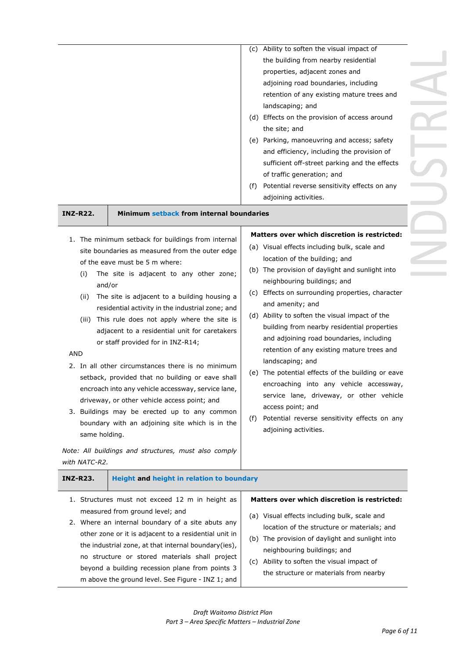| <b>INZ-R22.</b>                                                                | Minimum setback from internal boundaries                                                                                                                                                                                                                                                                                                                                                                                                                                                                                                                                                                                                                                                                                                                                                             | (f) | (c) Ability to soften the visual impact of<br>the building from nearby residential<br>properties, adjacent zones and<br>adjoining road boundaries, including<br>retention of any existing mature trees and<br>landscaping; and<br>(d) Effects on the provision of access around<br>the site; and<br>(e) Parking, manoeuvring and access; safety<br>and efficiency, including the provision of<br>sufficient off-street parking and the effects<br>of traffic generation; and<br>Potential reverse sensitivity effects on any<br>adjoining activities.                                                                                                                                                                                            |
|--------------------------------------------------------------------------------|------------------------------------------------------------------------------------------------------------------------------------------------------------------------------------------------------------------------------------------------------------------------------------------------------------------------------------------------------------------------------------------------------------------------------------------------------------------------------------------------------------------------------------------------------------------------------------------------------------------------------------------------------------------------------------------------------------------------------------------------------------------------------------------------------|-----|--------------------------------------------------------------------------------------------------------------------------------------------------------------------------------------------------------------------------------------------------------------------------------------------------------------------------------------------------------------------------------------------------------------------------------------------------------------------------------------------------------------------------------------------------------------------------------------------------------------------------------------------------------------------------------------------------------------------------------------------------|
| (i)<br>and/or<br>(ii)<br>(iii)<br><b>AND</b><br>same holding.<br>with NATC-R2. | 1. The minimum setback for buildings from internal<br>site boundaries as measured from the outer edge<br>of the eave must be 5 m where:<br>The site is adjacent to any other zone;<br>The site is adjacent to a building housing a<br>residential activity in the industrial zone; and<br>This rule does not apply where the site is<br>adjacent to a residential unit for caretakers<br>or staff provided for in INZ-R14;<br>2. In all other circumstances there is no minimum<br>setback, provided that no building or eave shall<br>encroach into any vehicle accessway, service lane,<br>driveway, or other vehicle access point; and<br>3. Buildings may be erected up to any common<br>boundary with an adjoining site which is in the<br>Note: All buildings and structures, must also comply | (f) | Matters over which discretion is restricted:<br>(a) Visual effects including bulk, scale and<br>location of the building; and<br>(b) The provision of daylight and sunlight into<br>neighbouring buildings; and<br>(c) Effects on surrounding properties, character<br>and amenity; and<br>(d) Ability to soften the visual impact of the<br>building from nearby residential properties<br>and adjoining road boundaries, including<br>retention of any existing mature trees and<br>landscaping; and<br>(e) The potential effects of the building or eave<br>encroaching into any vehicle accessway,<br>service lane, driveway, or other vehicle<br>access point; and<br>Potential reverse sensitivity effects on any<br>adjoining activities. |
| <b>INZ-R23.</b>                                                                | <b>Height and height in relation to boundary</b>                                                                                                                                                                                                                                                                                                                                                                                                                                                                                                                                                                                                                                                                                                                                                     |     |                                                                                                                                                                                                                                                                                                                                                                                                                                                                                                                                                                                                                                                                                                                                                  |
| 1.                                                                             | Structures must not exceed 12 m in height as<br>measured from ground level; and<br>2. Where an internal boundary of a site abuts any<br>other zone or it is adjacent to a residential unit in<br>the industrial zone, at that internal boundary(ies),<br>no structure or stored materials shall project<br>beyond a building recession plane from points 3<br>m above the ground level. See Figure - INZ 1; and                                                                                                                                                                                                                                                                                                                                                                                      |     | Matters over which discretion is restricted:<br>(a) Visual effects including bulk, scale and<br>location of the structure or materials; and<br>(b) The provision of daylight and sunlight into<br>neighbouring buildings; and<br>(c) Ability to soften the visual impact of<br>the structure or materials from nearby                                                                                                                                                                                                                                                                                                                                                                                                                            |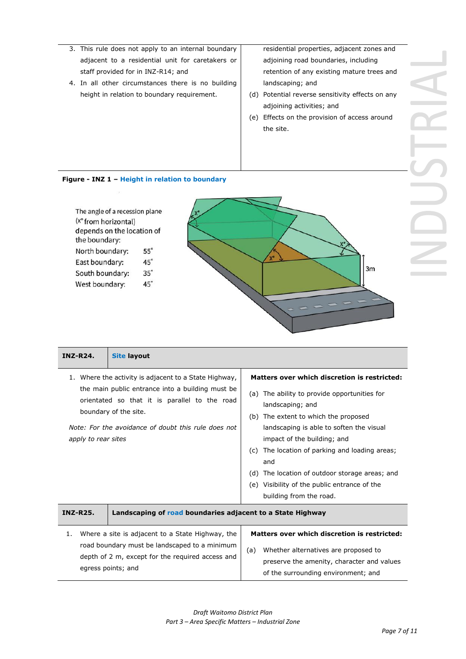- 3. This rule does not apply to an internal boundary adjacent to a residential unit for caretakers or staff provided for in INZ-R14; and
- 4. In all other circumstances there is no building height in relation to boundary requirement.

residential properties, adjacent zones and adjoining road boundaries, including retention of any existing mature trees and landscaping; and

- (d) Potential reverse sensitivity effects on any adjoining activities; and
- (e) Effects on the provision of access around the site.

#### **Figure - INZ 1 – Height in relation to boundary**



| <b>INZ-R24.</b>     | <b>Site layout</b>                                                                                                                                                                                                                         |                                                                                                                                                                                                                                                                                                                                                                                                                              |
|---------------------|--------------------------------------------------------------------------------------------------------------------------------------------------------------------------------------------------------------------------------------------|------------------------------------------------------------------------------------------------------------------------------------------------------------------------------------------------------------------------------------------------------------------------------------------------------------------------------------------------------------------------------------------------------------------------------|
| apply to rear sites | 1. Where the activity is adjacent to a State Highway,<br>the main public entrance into a building must be<br>orientated so that it is parallel to the road<br>boundary of the site.<br>Note: For the avoidance of doubt this rule does not | Matters over which discretion is restricted:<br>(a) The ability to provide opportunities for<br>landscaping; and<br>(b) The extent to which the proposed<br>landscaping is able to soften the visual<br>impact of the building; and<br>The location of parking and loading areas;<br>(c)<br>and<br>(d) The location of outdoor storage areas; and<br>(e) Visibility of the public entrance of the<br>building from the road. |
| <b>INZ-R25.</b>     | Landscaping of road boundaries adjacent to a State Highway                                                                                                                                                                                 |                                                                                                                                                                                                                                                                                                                                                                                                                              |
| 1.                  | Where a site is adjacent to a State Highway, the<br>road boundary must be landscaped to a minimum<br>depth of 2 m, except for the required access and<br>egress points; and                                                                | Matters over which discretion is restricted:<br>Whether alternatives are proposed to<br>(a)<br>preserve the amenity, character and values<br>of the surrounding environment; and                                                                                                                                                                                                                                             |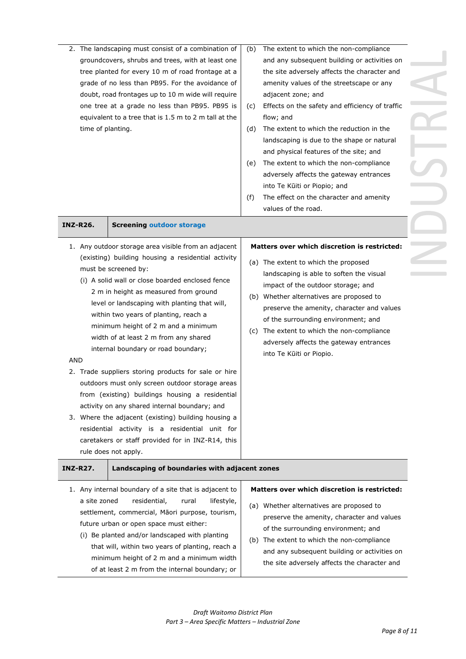| 2. The landscaping must consist of a combination of<br>groundcovers, shrubs and trees, with at least one<br>tree planted for every 10 m of road frontage at a<br>grade of no less than PB95. For the avoidance of<br>doubt, road frontages up to 10 m wide will require<br>one tree at a grade no less than PB95. PB95 is<br>equivalent to a tree that is 1.5 m to 2 m tall at the<br>time of planting. |                 | (b)<br>(C)<br>(d)                                                                                                                                                                                                                                                                                                                                                                                                                                                                                                                                                                                                                                               | The extent to which the non-compliance<br>and any subsequent building or activities on<br>the site adversely affects the character and<br>amenity values of the streetscape or any<br>adjacent zone; and<br>Effects on the safety and efficiency of traffic<br>flow; and<br>The extent to which the reduction in the |                                                                                                                                                                                                                                                                                                                                                                                                                              |
|---------------------------------------------------------------------------------------------------------------------------------------------------------------------------------------------------------------------------------------------------------------------------------------------------------------------------------------------------------------------------------------------------------|-----------------|-----------------------------------------------------------------------------------------------------------------------------------------------------------------------------------------------------------------------------------------------------------------------------------------------------------------------------------------------------------------------------------------------------------------------------------------------------------------------------------------------------------------------------------------------------------------------------------------------------------------------------------------------------------------|----------------------------------------------------------------------------------------------------------------------------------------------------------------------------------------------------------------------------------------------------------------------------------------------------------------------|------------------------------------------------------------------------------------------------------------------------------------------------------------------------------------------------------------------------------------------------------------------------------------------------------------------------------------------------------------------------------------------------------------------------------|
|                                                                                                                                                                                                                                                                                                                                                                                                         |                 |                                                                                                                                                                                                                                                                                                                                                                                                                                                                                                                                                                                                                                                                 | (e)<br>(f)                                                                                                                                                                                                                                                                                                           | landscaping is due to the shape or natural<br>and physical features of the site; and<br>The extent to which the non-compliance<br>adversely affects the gateway entrances<br>into Te Kūiti or Piopio; and<br>The effect on the character and amenity<br>values of the road.                                                                                                                                                  |
| <b>INZ-R26.</b>                                                                                                                                                                                                                                                                                                                                                                                         |                 | <b>Screening outdoor storage</b>                                                                                                                                                                                                                                                                                                                                                                                                                                                                                                                                                                                                                                |                                                                                                                                                                                                                                                                                                                      |                                                                                                                                                                                                                                                                                                                                                                                                                              |
| <b>AND</b>                                                                                                                                                                                                                                                                                                                                                                                              |                 | 1. Any outdoor storage area visible from an adjacent<br>(existing) building housing a residential activity<br>must be screened by:<br>(i) A solid wall or close boarded enclosed fence<br>2 m in height as measured from ground<br>level or landscaping with planting that will,<br>within two years of planting, reach a<br>minimum height of 2 m and a minimum<br>width of at least 2 m from any shared<br>internal boundary or road boundary;<br>2. Trade suppliers storing products for sale or hire<br>outdoors must only screen outdoor storage areas<br>from (existing) buildings housing a residential<br>activity on any shared internal boundary; and |                                                                                                                                                                                                                                                                                                                      | Matters over which discretion is restricted:<br>(a) The extent to which the proposed<br>landscaping is able to soften the visual<br>impact of the outdoor storage; and<br>(b) Whether alternatives are proposed to<br>preserve the amenity, character and values<br>of the surrounding environment; and<br>(c) The extent to which the non-compliance<br>adversely affects the gateway entrances<br>into Te Kūiti or Piopio. |
|                                                                                                                                                                                                                                                                                                                                                                                                         |                 | 3. Where the adjacent (existing) building housing a<br>residential activity is a residential unit for<br>caretakers or staff provided for in INZ-R14, this<br>rule does not apply.                                                                                                                                                                                                                                                                                                                                                                                                                                                                              |                                                                                                                                                                                                                                                                                                                      |                                                                                                                                                                                                                                                                                                                                                                                                                              |
|                                                                                                                                                                                                                                                                                                                                                                                                         | <b>INZ-R27.</b> | Landscaping of boundaries with adjacent zones                                                                                                                                                                                                                                                                                                                                                                                                                                                                                                                                                                                                                   |                                                                                                                                                                                                                                                                                                                      |                                                                                                                                                                                                                                                                                                                                                                                                                              |
|                                                                                                                                                                                                                                                                                                                                                                                                         | a site zoned    | 1. Any internal boundary of a site that is adjacent to<br>residential,<br>rural<br>lifestyle,<br>settlement, commercial, Māori purpose, tourism,                                                                                                                                                                                                                                                                                                                                                                                                                                                                                                                |                                                                                                                                                                                                                                                                                                                      | <b>Matters over which discretion is restricted:</b><br>(a) Whether alternatives are proposed to                                                                                                                                                                                                                                                                                                                              |

*Draft Waitomo District Plan Part 3 – Area Specific Matters – Industrial Zone*

future urban or open space must either:

(i) Be planted and/or landscaped with planting that will, within two years of planting, reach a minimum height of 2 m and a minimum width of at least 2 m from the internal boundary; or

preserve the amenity, character and values of the surrounding environment; and (b) The extent to which the non-compliance

and any subsequent building or activities on the site adversely affects the character and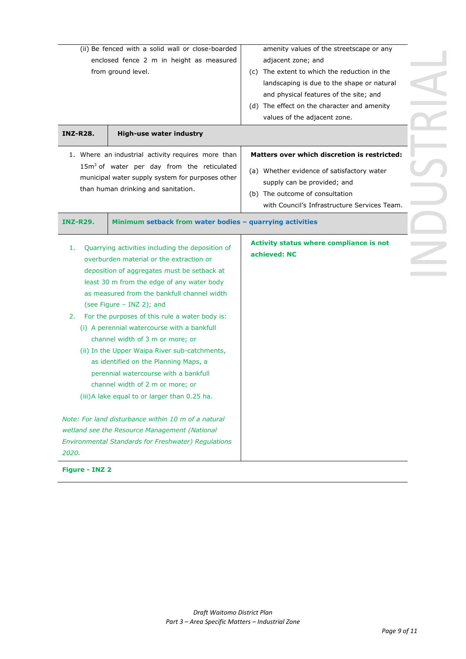| (ii) Be fenced with a solid wall or close-boarded<br>enclosed fence 2 m in height as measured<br>from ground level. |                                                                                                                                                                                                                                                                                                                                                                                                                                                                                                                                                                                                                                                                                                | amenity values of the streetscape or any<br>adjacent zone; and<br>(c) The extent to which the reduction in the<br>landscaping is due to the shape or natural<br>and physical features of the site; and<br>(d) The effect on the character and amenity<br>values of the adjacent zone. |  |
|---------------------------------------------------------------------------------------------------------------------|------------------------------------------------------------------------------------------------------------------------------------------------------------------------------------------------------------------------------------------------------------------------------------------------------------------------------------------------------------------------------------------------------------------------------------------------------------------------------------------------------------------------------------------------------------------------------------------------------------------------------------------------------------------------------------------------|---------------------------------------------------------------------------------------------------------------------------------------------------------------------------------------------------------------------------------------------------------------------------------------|--|
| <b>INZ-R28.</b>                                                                                                     | <b>High-use water industry</b><br>1. Where an industrial activity requires more than<br>$15m3$ of water per day from the reticulated<br>municipal water supply system for purposes other                                                                                                                                                                                                                                                                                                                                                                                                                                                                                                       | <b>Matters over which discretion is restricted:</b><br>(a) Whether evidence of satisfactory water<br>supply can be provided; and                                                                                                                                                      |  |
|                                                                                                                     | than human drinking and sanitation.                                                                                                                                                                                                                                                                                                                                                                                                                                                                                                                                                                                                                                                            | (b) The outcome of consultation<br>with Council's Infrastructure Services Team.                                                                                                                                                                                                       |  |
| <b>INZ-R29.</b><br>1.<br>2.                                                                                         | Minimum setback from water bodies - quarrying activities<br>Quarrying activities including the deposition of<br>overburden material or the extraction or<br>deposition of aggregates must be setback at<br>least 30 m from the edge of any water body<br>as measured from the bankfull channel width<br>(see Figure - INZ 2); and<br>For the purposes of this rule a water body is:<br>(i) A perennial watercourse with a bankfull<br>channel width of 3 m or more; or<br>(ii) In the Upper Waipa River sub-catchments,<br>as identified on the Planning Maps, a<br>perennial watercourse with a bankfull<br>channel width of 2 m or more; or<br>(iii) A lake equal to or larger than 0.25 ha. | Activity status where compliance is not<br>achieved: NC                                                                                                                                                                                                                               |  |
| 2020.                                                                                                               | Note: For land disturbance within 10 m of a natural<br>wetland see the Resource Management (National<br><b>Environmental Standards for Freshwater) Regulations</b>                                                                                                                                                                                                                                                                                                                                                                                                                                                                                                                             |                                                                                                                                                                                                                                                                                       |  |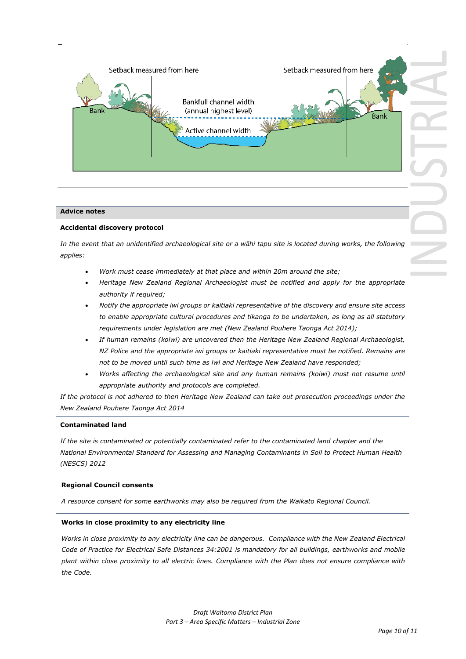

#### **Advice notes**

#### **Accidental discovery protocol**

*In the event that an unidentified archaeological site or a wāhi tapu site is located during works, the following applies:*

- *Work must cease immediately at that place and within 20m around the site;*
- *Heritage New Zealand Regional Archaeologist must be notified and apply for the appropriate authority if required;*
- *Notify the appropriate iwi groups or kaitiaki representative of the discovery and ensure site access to enable appropriate cultural procedures and tikanga to be undertaken, as long as all statutory requirements under legislation are met (New Zealand Pouhere Taonga Act 2014);*
- *If human remains (koiwi) are uncovered then the Heritage New Zealand Regional Archaeologist, NZ Police and the appropriate iwi groups or kaitiaki representative must be notified. Remains are not to be moved until such time as iwi and Heritage New Zealand have responded;*
- *Works affecting the archaeological site and any human remains (koiwi) must not resume until appropriate authority and protocols are completed.*

*If the protocol is not adhered to then Heritage New Zealand can take out prosecution proceedings under the New Zealand Pouhere Taonga Act 2014*

#### **Contaminated land**

*If the site is contaminated or potentially contaminated refer to the contaminated land chapter and the National Environmental Standard for Assessing and Managing Contaminants in Soil to Protect Human Health (NESCS) 2012*

#### **Regional Council consents**

*A resource consent for some earthworks may also be required from the Waikato Regional Council.*

#### **Works in close proximity to any electricity line**

*Works in close proximity to any electricity line can be dangerous. Compliance with the New Zealand Electrical Code of Practice for Electrical Safe Distances 34:2001 is mandatory for all buildings, earthworks and mobile plant within close proximity to all electric lines. Compliance with the Plan does not ensure compliance with the Code.*